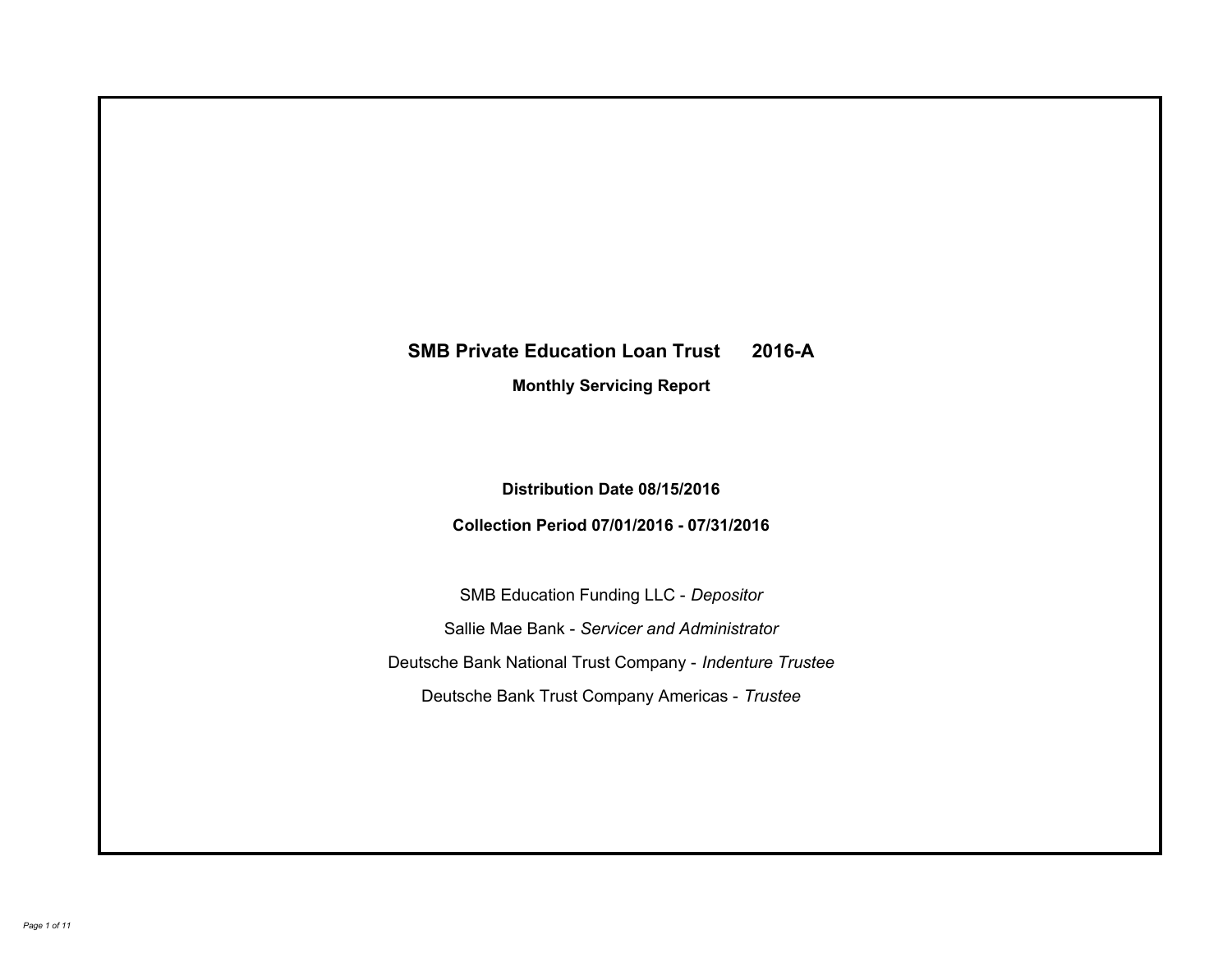# **SMB Private Education Loan Trust 2016-A Monthly Servicing Report**

# **Distribution Date 08/15/2016**

# **Collection Period 07/01/2016 - 07/31/2016**

SMB Education Funding LLC - *Depositor* Sallie Mae Bank - *Servicer and Administrator* Deutsche Bank National Trust Company - *Indenture Trustee* Deutsche Bank Trust Company Americas - *Trustee*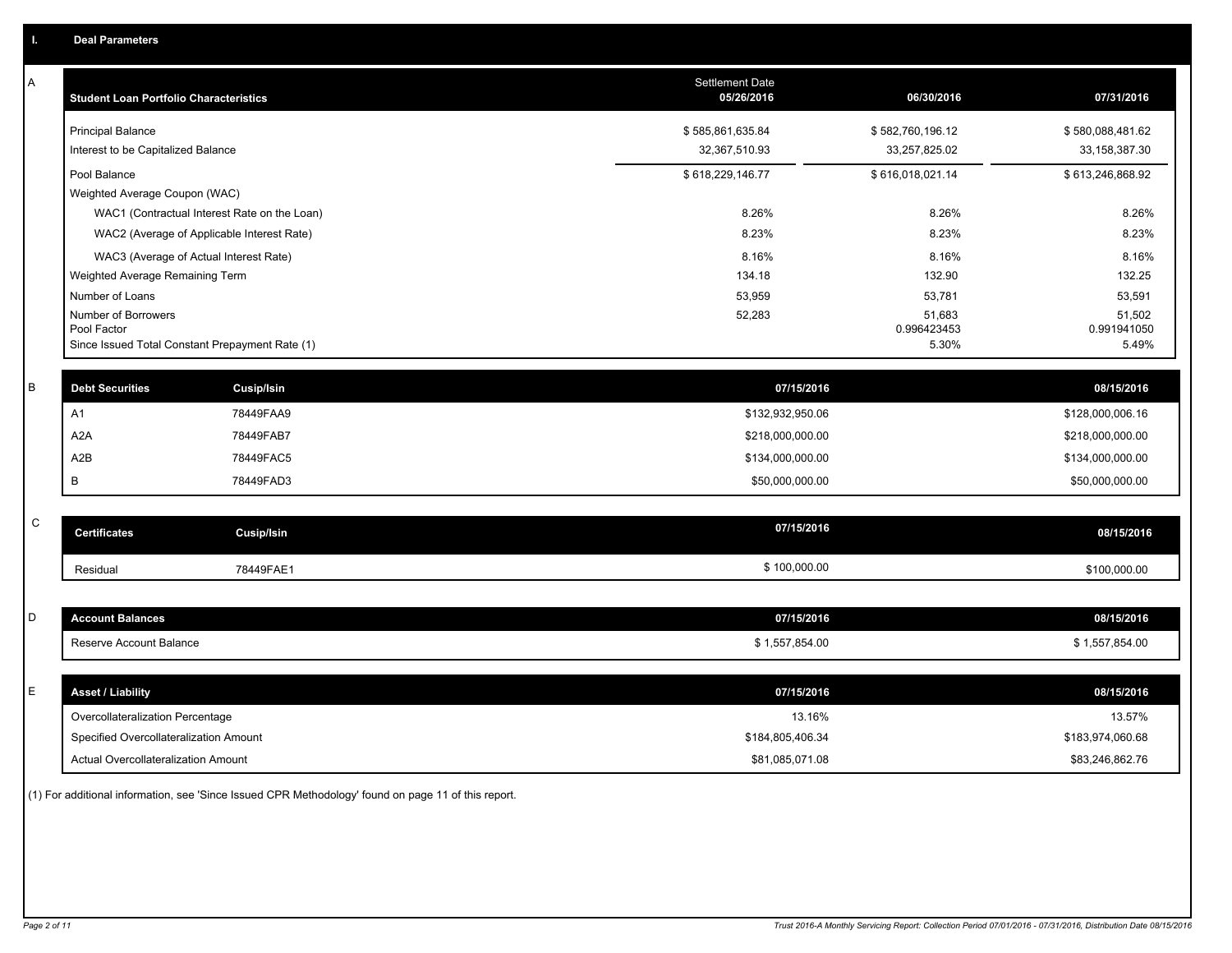| А           | <b>Student Loan Portfolio Characteristics</b>                  |                                              | <b>Settlement Date</b><br>05/26/2016 | 06/30/2016           | 07/31/2016           |
|-------------|----------------------------------------------------------------|----------------------------------------------|--------------------------------------|----------------------|----------------------|
|             | <b>Principal Balance</b>                                       |                                              | \$585,861,635.84                     | \$582,760,196.12     | \$580,088,481.62     |
|             | Interest to be Capitalized Balance                             |                                              | 32,367,510.93                        | 33,257,825.02        | 33, 158, 387. 30     |
|             | Pool Balance                                                   |                                              | \$618,229,146.77                     | \$616,018,021.14     | \$613,246,868.92     |
|             | Weighted Average Coupon (WAC)                                  |                                              |                                      |                      |                      |
|             |                                                                | WAC1 (Contractual Interest Rate on the Loan) | 8.26%                                | 8.26%                | 8.26%                |
|             | WAC2 (Average of Applicable Interest Rate)                     |                                              | 8.23%                                | 8.23%                | 8.23%                |
|             | WAC3 (Average of Actual Interest Rate)                         |                                              | 8.16%                                | 8.16%                | 8.16%                |
|             | Weighted Average Remaining Term                                |                                              | 134.18                               | 132.90               | 132.25               |
|             | Number of Loans                                                |                                              | 53,959                               | 53,781               | 53,591               |
|             | Number of Borrowers                                            |                                              | 52,283                               | 51,683               | 51,502               |
|             | Pool Factor<br>Since Issued Total Constant Prepayment Rate (1) |                                              |                                      | 0.996423453<br>5.30% | 0.991941050<br>5.49% |
|             |                                                                |                                              |                                      |                      |                      |
| B           | <b>Debt Securities</b>                                         | Cusip/Isin                                   | 07/15/2016                           |                      | 08/15/2016           |
|             | A1                                                             | 78449FAA9                                    | \$132,932,950.06                     |                      | \$128,000,006.16     |
|             | A <sub>2</sub> A                                               | 78449FAB7                                    | \$218,000,000.00                     |                      | \$218,000,000.00     |
|             | A2B                                                            | 78449FAC5                                    | \$134,000,000.00                     |                      | \$134,000,000.00     |
|             | B                                                              | 78449FAD3                                    | \$50,000,000.00                      |                      | \$50,000,000.00      |
|             |                                                                |                                              |                                      |                      |                      |
| $\mathsf C$ | <b>Certificates</b>                                            | <b>Cusip/Isin</b>                            | 07/15/2016                           |                      | 08/15/2016           |
|             | Residual                                                       | 78449FAE1                                    | \$100,000.00                         |                      | \$100,000.00         |
|             |                                                                |                                              |                                      |                      |                      |
| D           | <b>Account Balances</b>                                        |                                              | 07/15/2016                           |                      | 08/15/2016           |
|             | Reserve Account Balance                                        |                                              | \$1,557,854.00                       |                      | \$1,557,854.00       |
|             |                                                                |                                              |                                      |                      |                      |
| E           | <b>Asset / Liability</b>                                       |                                              | 07/15/2016                           |                      | 08/15/2016           |
|             | Overcollateralization Percentage                               |                                              | 13.16%                               |                      | 13.57%               |
|             | Specified Overcollateralization Amount                         |                                              | \$184,805,406.34                     |                      | \$183,974,060.68     |
|             | <b>Actual Overcollateralization Amount</b>                     |                                              | \$81,085,071.08                      |                      | \$83,246,862.76      |
|             |                                                                |                                              |                                      |                      |                      |

(1) For additional information, see 'Since Issued CPR Methodology' found on page 11 of this report.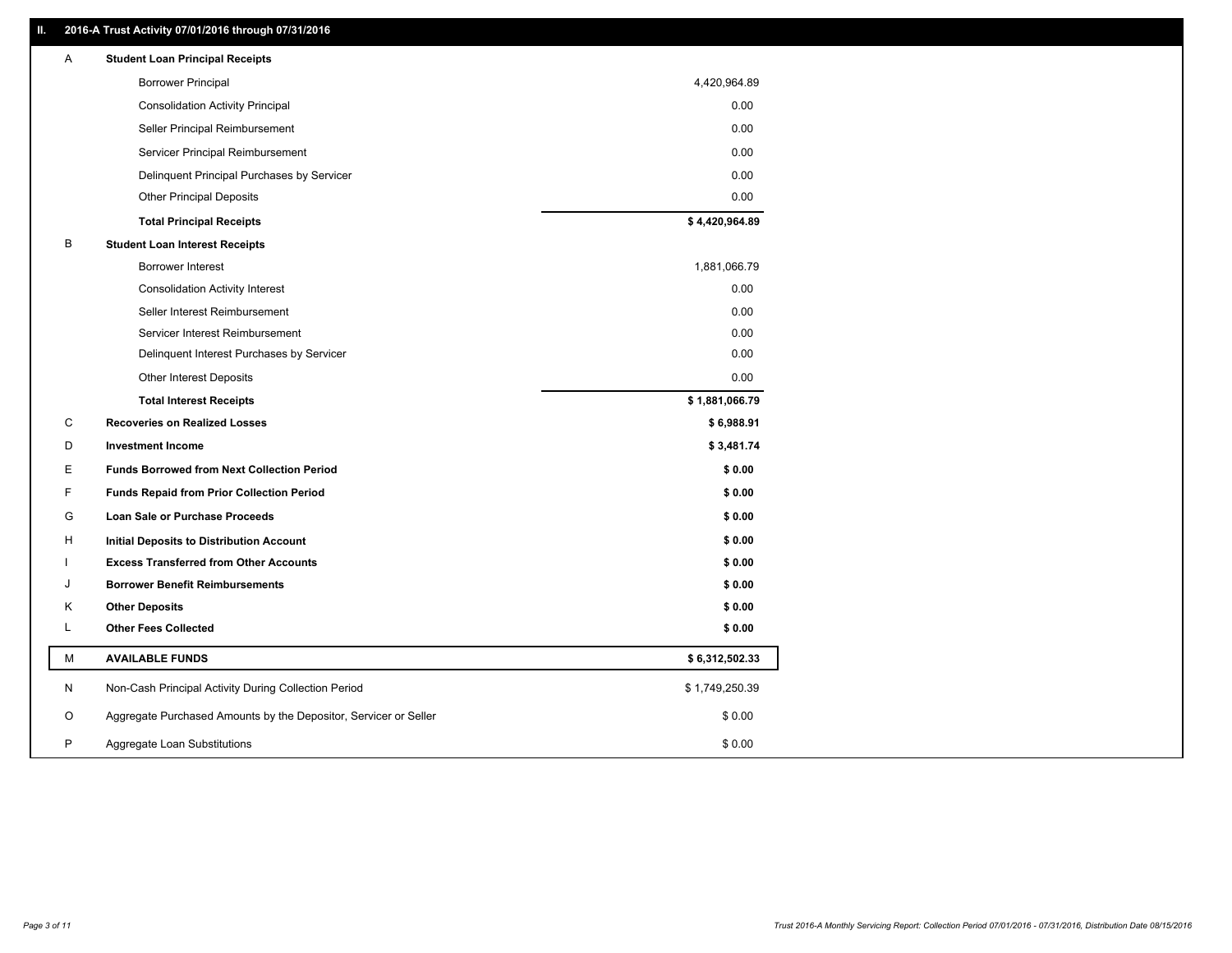# **II. 2016-A Trust Activity 07/01/2016 through 07/31/2016**

| Α | <b>Student Loan Principal Receipts</b>                           |                |
|---|------------------------------------------------------------------|----------------|
|   | <b>Borrower Principal</b>                                        | 4,420,964.89   |
|   | <b>Consolidation Activity Principal</b>                          | 0.00           |
|   | Seller Principal Reimbursement                                   | 0.00           |
|   | Servicer Principal Reimbursement                                 | 0.00           |
|   | Delinquent Principal Purchases by Servicer                       | 0.00           |
|   | <b>Other Principal Deposits</b>                                  | 0.00           |
|   | <b>Total Principal Receipts</b>                                  | \$4,420,964.89 |
| В | <b>Student Loan Interest Receipts</b>                            |                |
|   | <b>Borrower Interest</b>                                         | 1,881,066.79   |
|   | <b>Consolidation Activity Interest</b>                           | 0.00           |
|   | Seller Interest Reimbursement                                    | 0.00           |
|   | Servicer Interest Reimbursement                                  | 0.00           |
|   | Delinquent Interest Purchases by Servicer                        | 0.00           |
|   | <b>Other Interest Deposits</b>                                   | 0.00           |
|   | <b>Total Interest Receipts</b>                                   | \$1,881,066.79 |
| C | <b>Recoveries on Realized Losses</b>                             | \$6,988.91     |
| D | <b>Investment Income</b>                                         | \$3,481.74     |
| Ε | <b>Funds Borrowed from Next Collection Period</b>                | \$0.00         |
| F | <b>Funds Repaid from Prior Collection Period</b>                 | \$0.00         |
| G | Loan Sale or Purchase Proceeds                                   | \$0.00         |
| H | Initial Deposits to Distribution Account                         | \$0.00         |
|   | <b>Excess Transferred from Other Accounts</b>                    | \$0.00         |
| J | <b>Borrower Benefit Reimbursements</b>                           | \$0.00         |
| Κ | <b>Other Deposits</b>                                            | \$0.00         |
| L | <b>Other Fees Collected</b>                                      | \$0.00         |
| М | <b>AVAILABLE FUNDS</b>                                           | \$6,312,502.33 |
| N | Non-Cash Principal Activity During Collection Period             | \$1,749,250.39 |
| O | Aggregate Purchased Amounts by the Depositor, Servicer or Seller | \$0.00         |
| P | Aggregate Loan Substitutions                                     | \$0.00         |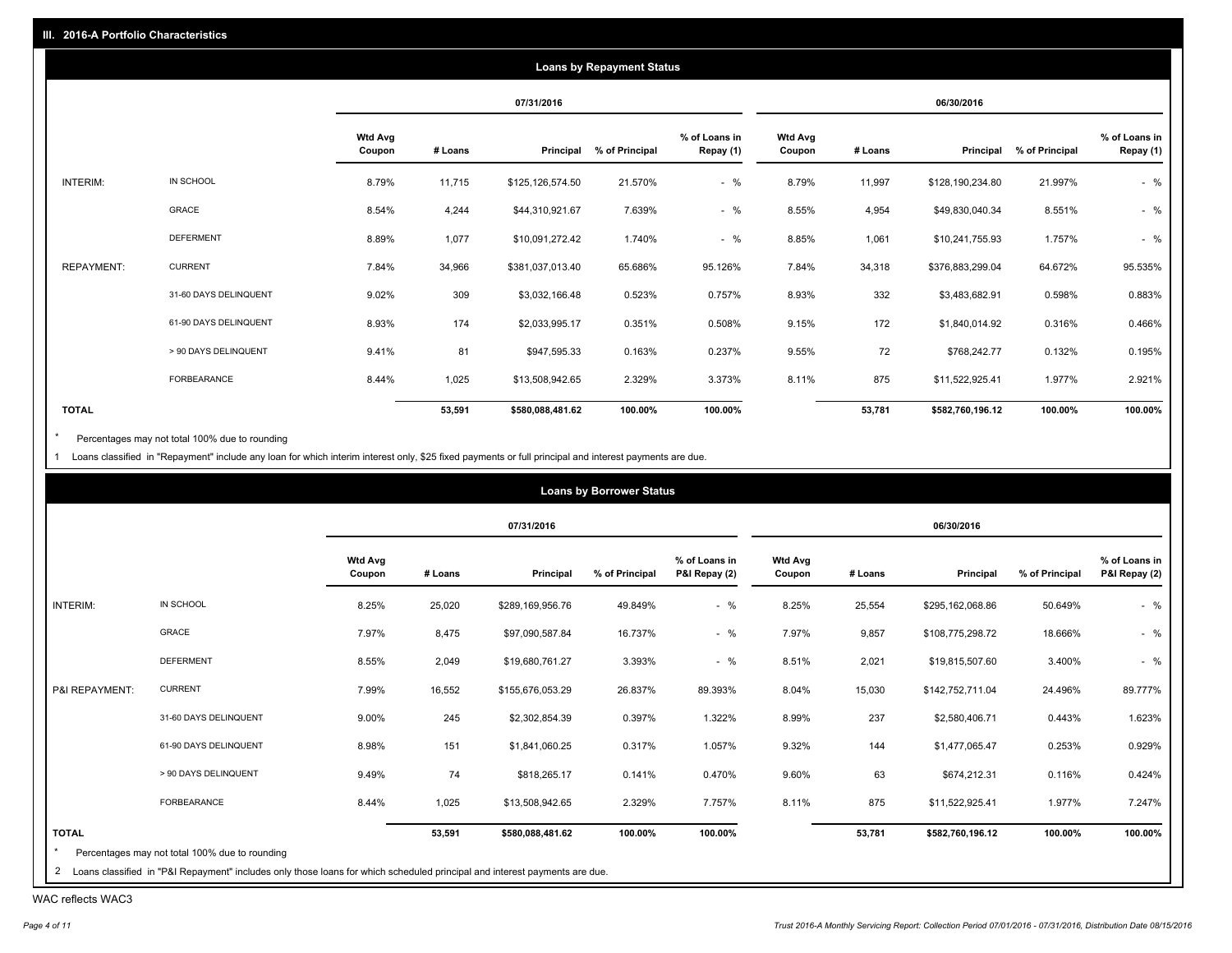|                   |                       |                          |         |                  | <b>Loans by Repayment Status</b> |                            |                          |         |                  |                |                            |
|-------------------|-----------------------|--------------------------|---------|------------------|----------------------------------|----------------------------|--------------------------|---------|------------------|----------------|----------------------------|
|                   |                       |                          |         | 07/31/2016       |                                  |                            |                          |         | 06/30/2016       |                |                            |
|                   |                       | <b>Wtd Avg</b><br>Coupon | # Loans | Principal        | % of Principal                   | % of Loans in<br>Repay (1) | <b>Wtd Avg</b><br>Coupon | # Loans | Principal        | % of Principal | % of Loans in<br>Repay (1) |
| INTERIM:          | IN SCHOOL             | 8.79%                    | 11,715  | \$125,126,574.50 | 21.570%                          | $-$ %                      | 8.79%                    | 11,997  | \$128,190,234.80 | 21.997%        | $-$ %                      |
|                   | GRACE                 | 8.54%                    | 4,244   | \$44,310,921.67  | 7.639%                           | $-$ %                      | 8.55%                    | 4,954   | \$49,830,040.34  | 8.551%         | $-$ %                      |
|                   | <b>DEFERMENT</b>      | 8.89%                    | 1,077   | \$10,091,272.42  | 1.740%                           | $-$ %                      | 8.85%                    | 1,061   | \$10,241,755.93  | 1.757%         | $-$ %                      |
| <b>REPAYMENT:</b> | <b>CURRENT</b>        | 7.84%                    | 34,966  | \$381,037,013.40 | 65.686%                          | 95.126%                    | 7.84%                    | 34,318  | \$376,883,299.04 | 64.672%        | 95.535%                    |
|                   | 31-60 DAYS DELINQUENT | 9.02%                    | 309     | \$3,032,166.48   | 0.523%                           | 0.757%                     | 8.93%                    | 332     | \$3,483,682.91   | 0.598%         | 0.883%                     |
|                   | 61-90 DAYS DELINQUENT | 8.93%                    | 174     | \$2,033,995.17   | 0.351%                           | 0.508%                     | 9.15%                    | 172     | \$1,840,014.92   | 0.316%         | 0.466%                     |
|                   | > 90 DAYS DELINQUENT  | 9.41%                    | 81      | \$947,595.33     | 0.163%                           | 0.237%                     | 9.55%                    | 72      | \$768,242.77     | 0.132%         | 0.195%                     |
|                   | <b>FORBEARANCE</b>    | 8.44%                    | 1,025   | \$13,508,942.65  | 2.329%                           | 3.373%                     | 8.11%                    | 875     | \$11,522,925.41  | 1.977%         | 2.921%                     |
| <b>TOTAL</b>      |                       |                          | 53,591  | \$580,088,481.62 | 100.00%                          | 100.00%                    |                          | 53,781  | \$582,760,196.12 | 100.00%        | 100.00%                    |

Percentages may not total 100% due to rounding  $^\star$ 

1 Loans classified in "Repayment" include any loan for which interim interest only, \$25 fixed payments or full principal and interest payments are due.

|                |                       |                          |         | 07/31/2016       |                |                                |                          |         | 06/30/2016       |                |                                |
|----------------|-----------------------|--------------------------|---------|------------------|----------------|--------------------------------|--------------------------|---------|------------------|----------------|--------------------------------|
|                |                       | <b>Wtd Avg</b><br>Coupon | # Loans | Principal        | % of Principal | % of Loans in<br>P&I Repay (2) | <b>Wtd Avg</b><br>Coupon | # Loans | Principal        | % of Principal | % of Loans in<br>P&I Repay (2) |
| INTERIM:       | IN SCHOOL             | 8.25%                    | 25,020  | \$289,169,956.76 | 49.849%        | $-$ %                          | 8.25%                    | 25,554  | \$295,162,068.86 | 50.649%        | $-$ %                          |
|                | GRACE                 | 7.97%                    | 8,475   | \$97,090,587.84  | 16.737%        | $-$ %                          | 7.97%                    | 9,857   | \$108,775,298.72 | 18.666%        | $-$ %                          |
|                | <b>DEFERMENT</b>      | 8.55%                    | 2,049   | \$19,680,761.27  | 3.393%         | $-$ %                          | 8.51%                    | 2,021   | \$19,815,507.60  | 3.400%         | $-$ %                          |
| P&I REPAYMENT: | <b>CURRENT</b>        | 7.99%                    | 16,552  | \$155,676,053.29 | 26.837%        | 89.393%                        | 8.04%                    | 15,030  | \$142,752,711.04 | 24.496%        | 89.777%                        |
|                | 31-60 DAYS DELINQUENT | 9.00%                    | 245     | \$2,302,854.39   | 0.397%         | 1.322%                         | 8.99%                    | 237     | \$2,580,406.71   | 0.443%         | 1.623%                         |
|                | 61-90 DAYS DELINQUENT | 8.98%                    | 151     | \$1,841,060.25   | 0.317%         | 1.057%                         | 9.32%                    | 144     | \$1,477,065.47   | 0.253%         | 0.929%                         |
|                | > 90 DAYS DELINQUENT  | 9.49%                    | 74      | \$818,265.17     | 0.141%         | 0.470%                         | 9.60%                    | 63      | \$674,212.31     | 0.116%         | 0.424%                         |
|                | FORBEARANCE           | 8.44%                    | 1,025   | \$13,508,942.65  | 2.329%         | 7.757%                         | 8.11%                    | 875     | \$11,522,925.41  | 1.977%         | 7.247%                         |
| <b>TOTAL</b>   |                       |                          | 53,591  | \$580,088,481.62 | 100.00%        | 100.00%                        |                          | 53,781  | \$582,760,196.12 | 100.00%        | 100.00%                        |

WAC reflects WAC3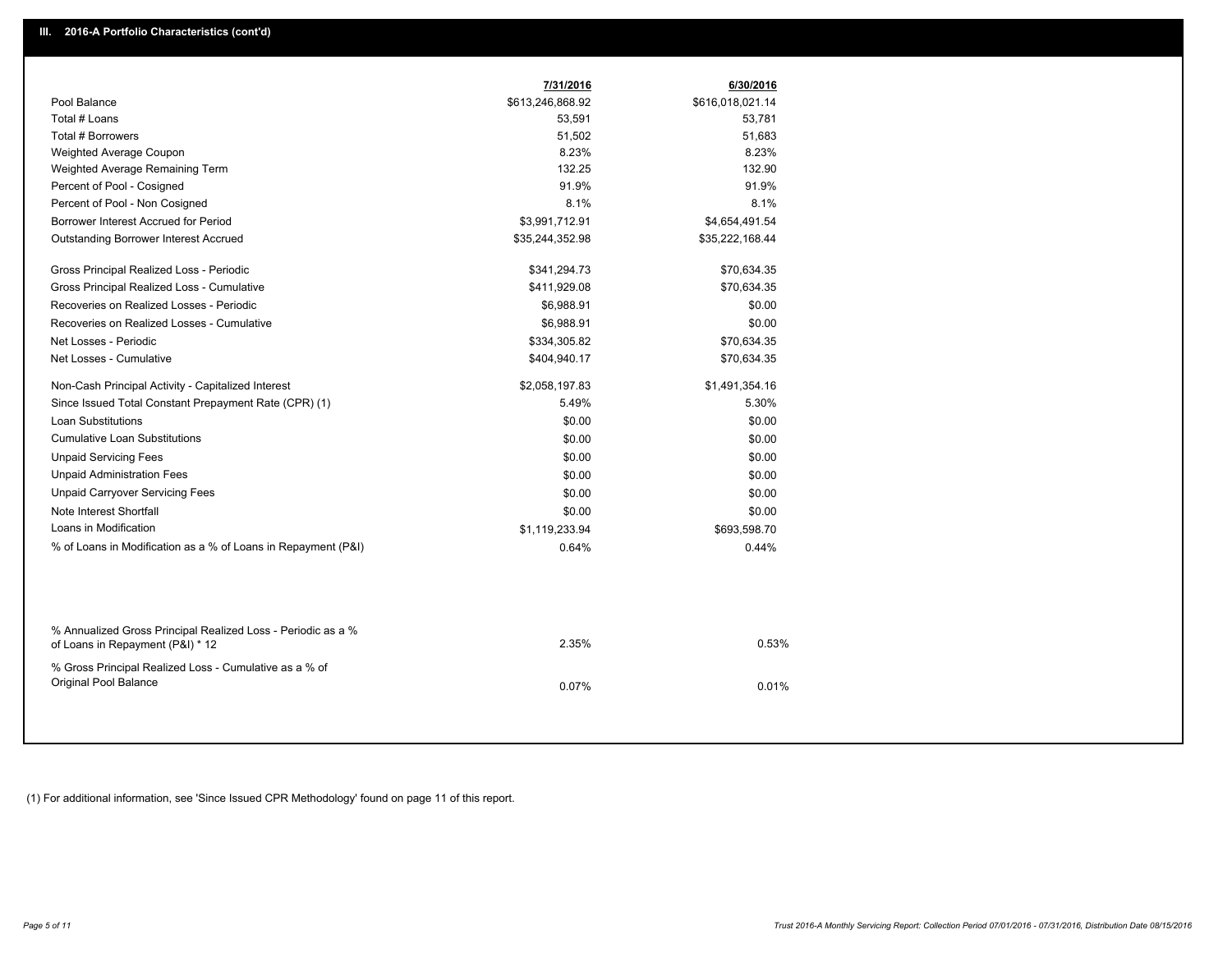|                                                                                                  |                  | 6/30/2016        |
|--------------------------------------------------------------------------------------------------|------------------|------------------|
| Pool Balance                                                                                     | \$613,246,868.92 | \$616,018,021.14 |
| Total # Loans                                                                                    | 53,591           | 53,781           |
| Total # Borrowers                                                                                | 51,502           | 51,683           |
| Weighted Average Coupon                                                                          | 8.23%            | 8.23%            |
| Weighted Average Remaining Term                                                                  | 132.25           | 132.90           |
| Percent of Pool - Cosigned                                                                       | 91.9%            | 91.9%            |
| Percent of Pool - Non Cosigned                                                                   | 8.1%             | 8.1%             |
| Borrower Interest Accrued for Period                                                             | \$3,991,712.91   | \$4,654,491.54   |
| <b>Outstanding Borrower Interest Accrued</b>                                                     | \$35,244,352.98  | \$35,222,168.44  |
| Gross Principal Realized Loss - Periodic                                                         | \$341,294.73     | \$70,634.35      |
| Gross Principal Realized Loss - Cumulative                                                       | \$411,929.08     | \$70,634.35      |
| Recoveries on Realized Losses - Periodic                                                         | \$6,988.91       | \$0.00           |
| Recoveries on Realized Losses - Cumulative                                                       | \$6,988.91       | \$0.00           |
| Net Losses - Periodic                                                                            | \$334,305.82     | \$70,634.35      |
| Net Losses - Cumulative                                                                          | \$404,940.17     | \$70,634.35      |
| Non-Cash Principal Activity - Capitalized Interest                                               | \$2,058,197.83   | \$1,491,354.16   |
| Since Issued Total Constant Prepayment Rate (CPR) (1)                                            | 5.49%            | 5.30%            |
| <b>Loan Substitutions</b>                                                                        | \$0.00           | \$0.00           |
| <b>Cumulative Loan Substitutions</b>                                                             | \$0.00           | \$0.00           |
| <b>Unpaid Servicing Fees</b>                                                                     | \$0.00           | \$0.00           |
| <b>Unpaid Administration Fees</b>                                                                | \$0.00           | \$0.00           |
| <b>Unpaid Carryover Servicing Fees</b>                                                           | \$0.00           | \$0.00           |
| Note Interest Shortfall                                                                          | \$0.00           | \$0.00           |
| Loans in Modification                                                                            | \$1,119,233.94   | \$693,598.70     |
| % of Loans in Modification as a % of Loans in Repayment (P&I)                                    | 0.64%            | 0.44%            |
|                                                                                                  |                  |                  |
| % Annualized Gross Principal Realized Loss - Periodic as a %<br>of Loans in Repayment (P&I) * 12 | 2.35%            | 0.53%            |
| % Gross Principal Realized Loss - Cumulative as a % of<br>Original Pool Balance                  | 0.07%            | 0.01%            |

(1) For additional information, see 'Since Issued CPR Methodology' found on page 11 of this report.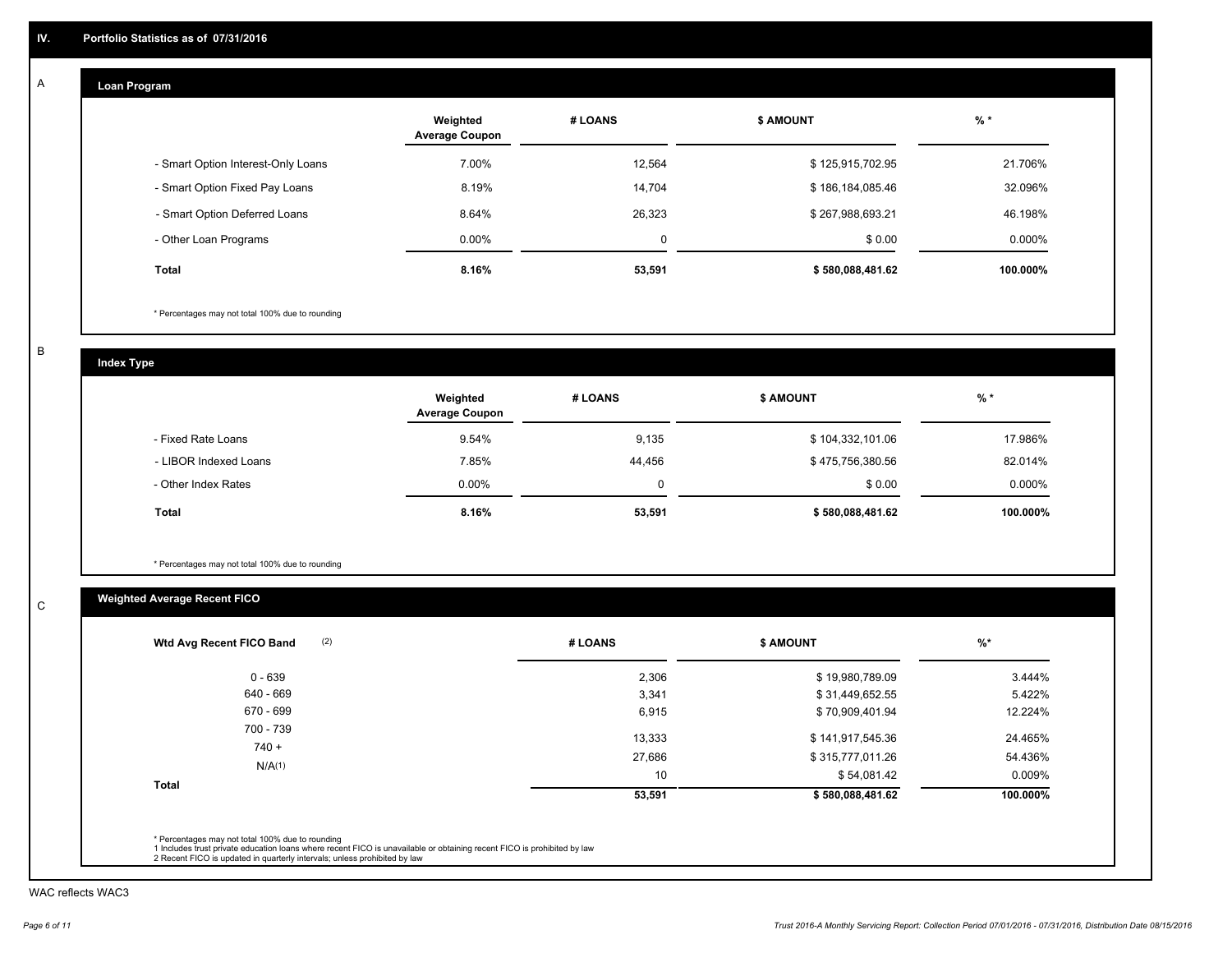#### **Loan Program**  A

|                                    | Weighted<br><b>Average Coupon</b> | # LOANS | <b>\$ AMOUNT</b> | $%$ *     |
|------------------------------------|-----------------------------------|---------|------------------|-----------|
| - Smart Option Interest-Only Loans | 7.00%                             | 12,564  | \$125,915,702.95 | 21.706%   |
| - Smart Option Fixed Pay Loans     | 8.19%                             | 14,704  | \$186,184,085.46 | 32.096%   |
| - Smart Option Deferred Loans      | 8.64%                             | 26.323  | \$267,988,693.21 | 46.198%   |
| - Other Loan Programs              | $0.00\%$                          | 0       | \$0.00           | $0.000\%$ |
| <b>Total</b>                       | 8.16%                             | 53,591  | \$580,088,481.62 | 100.000%  |

\* Percentages may not total 100% due to rounding

B

C

**Index Type**

|                       | Weighted<br><b>Average Coupon</b> | # LOANS | <b>\$ AMOUNT</b> | $%$ *    |
|-----------------------|-----------------------------------|---------|------------------|----------|
| - Fixed Rate Loans    | 9.54%                             | 9,135   | \$104,332,101.06 | 17.986%  |
| - LIBOR Indexed Loans | 7.85%                             | 44,456  | \$475,756,380.56 | 82.014%  |
| - Other Index Rates   | $0.00\%$                          | 0       | \$0.00           | 0.000%   |
| Total                 | 8.16%                             | 53,591  | \$580,088,481.62 | 100.000% |

\* Percentages may not total 100% due to rounding

# **Weighted Average Recent FICO**

| $0 - 639$ | 2,306  | \$19,980,789.09  | 3.444%   |
|-----------|--------|------------------|----------|
| 640 - 669 | 3,341  | \$31,449,652.55  | 5.422%   |
| 670 - 699 | 6,915  | \$70,909,401.94  | 12.224%  |
| 700 - 739 | 13,333 | \$141,917,545.36 | 24.465%  |
| $740 +$   | 27,686 | \$315,777,011.26 | 54.436%  |
| N/A(1)    | 10     | \$54,081.42      | 0.009%   |
| Total     | 53,591 | \$580,088,481.62 | 100.000% |

WAC reflects WAC3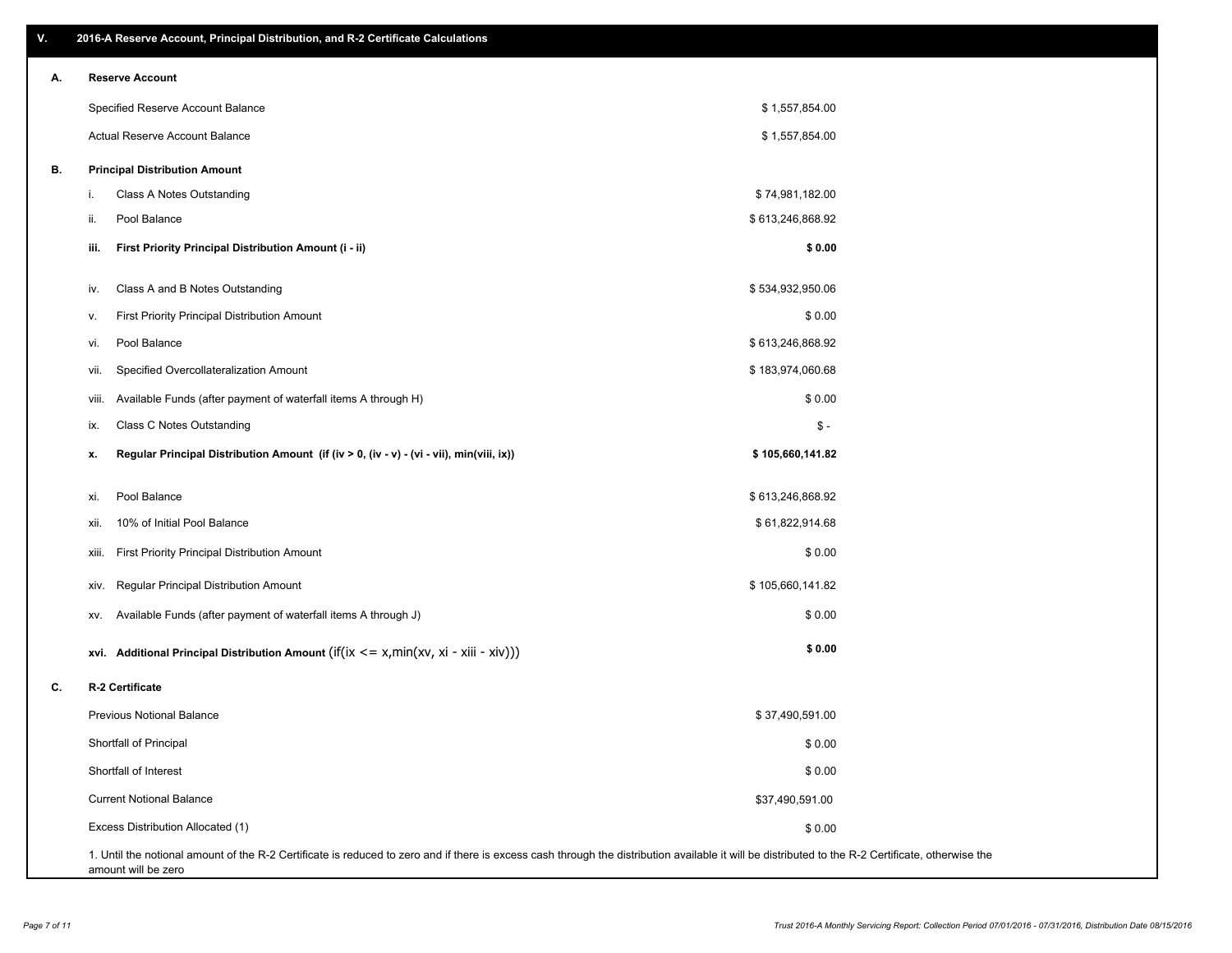| ۷. | 2016-A Reserve Account, Principal Distribution, and R-2 Certificate Calculations               |                                                             |  |
|----|------------------------------------------------------------------------------------------------|-------------------------------------------------------------|--|
| Α. | <b>Reserve Account</b>                                                                         |                                                             |  |
|    | Specified Reserve Account Balance                                                              | \$1,557,854.00                                              |  |
|    | Actual Reserve Account Balance                                                                 | \$1,557,854.00                                              |  |
| В. | <b>Principal Distribution Amount</b>                                                           |                                                             |  |
|    | Class A Notes Outstanding<br>i.                                                                | \$74,981,182.00                                             |  |
|    | Pool Balance<br>ii.                                                                            | \$613,246,868.92                                            |  |
|    | First Priority Principal Distribution Amount (i - ii)<br>iii.                                  | \$0.00                                                      |  |
|    | Class A and B Notes Outstanding<br>iv.                                                         | \$534,932,950.06                                            |  |
|    | First Priority Principal Distribution Amount<br>v.                                             | \$0.00                                                      |  |
|    | Pool Balance<br>vi.                                                                            | \$613,246,868.92                                            |  |
|    | Specified Overcollateralization Amount<br>vii.                                                 | \$183,974,060.68                                            |  |
|    | Available Funds (after payment of waterfall items A through H)<br>VIII.                        | \$0.00                                                      |  |
|    | Class C Notes Outstanding<br>ix.                                                               | $\mathsf{\$}$ -                                             |  |
|    | Regular Principal Distribution Amount (if (iv > 0, (iv - v) - (vi - vii), min(viii, ix))<br>x. | \$105,660,141.82                                            |  |
|    | Pool Balance<br>xi.                                                                            | \$613,246,868.92                                            |  |
|    | 10% of Initial Pool Balance<br>xii.                                                            | \$61,822,914.68                                             |  |
|    | First Priority Principal Distribution Amount<br>xiii.                                          | \$0.00                                                      |  |
|    | Regular Principal Distribution Amount<br>XIV.                                                  | \$105,660,141.82                                            |  |
|    | Available Funds (after payment of waterfall items A through J)<br>XV.                          | \$0.00                                                      |  |
|    | xvi. Additional Principal Distribution Amount (if(ix $\lt$ = x, min(xv, xi - xiii - xiv)))     | \$0.00                                                      |  |
| C. | R-2 Certificate                                                                                |                                                             |  |
|    | <b>Previous Notional Balance</b>                                                               | \$37,490,591.00                                             |  |
|    | Shortfall of Principal                                                                         | \$0.00                                                      |  |
|    | Shortfall of Interest                                                                          | \$0.00                                                      |  |
|    | <b>Current Notional Balance</b>                                                                | \$37,490,591.00                                             |  |
|    | Excess Distribution Allocated (1)                                                              | \$0.00                                                      |  |
|    | D. 3. Contificate is reduced to zero and if there is evenes soop thru                          | de tha distribution qualiphla it will be distributed to the |  |

1. Until the notional amount of the R-2 Certificate is reduced to zero and if there is excess cash through the distribution available it will be distributed to the R-2 Certificate, otherwise the amount will be zero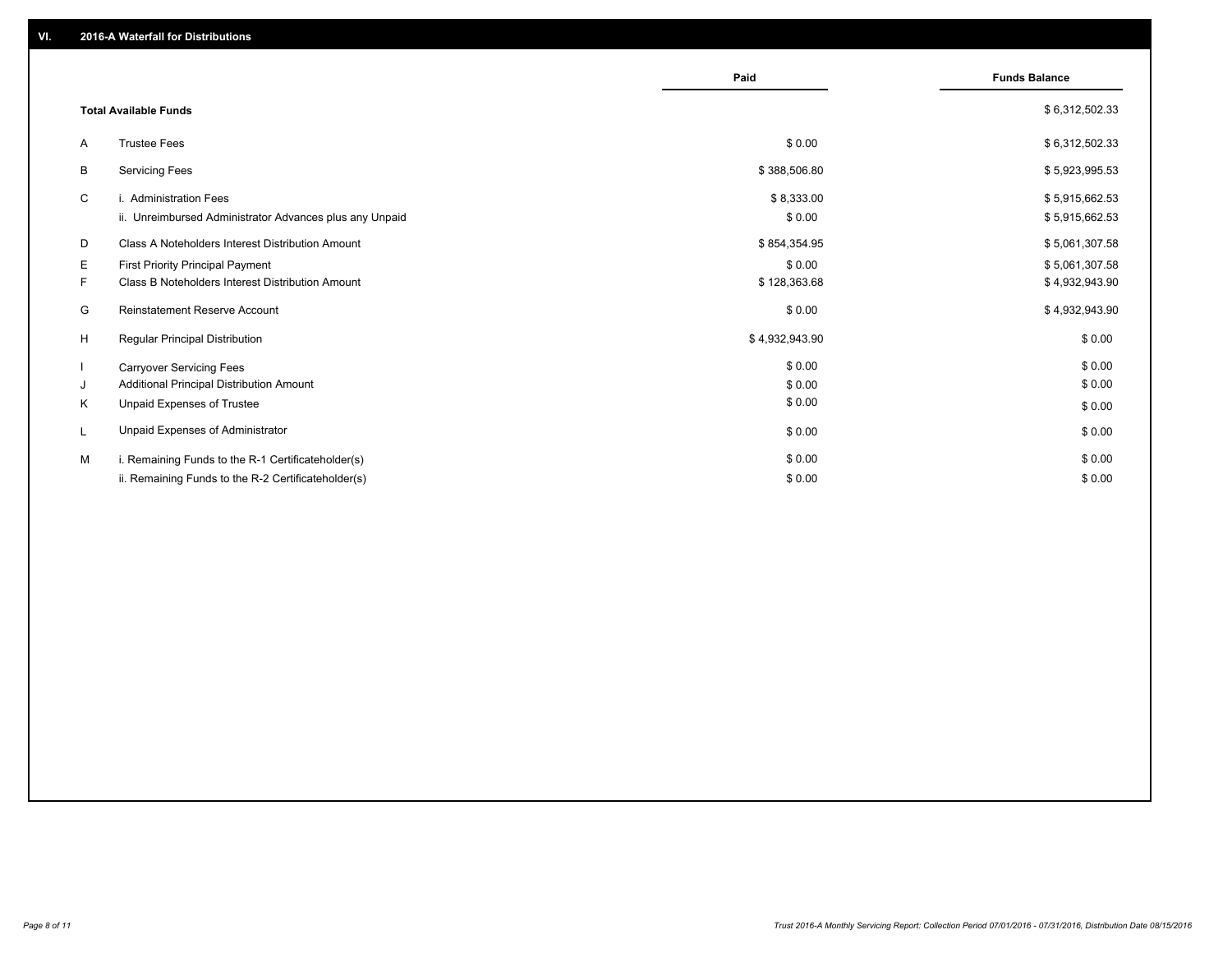|                                                         | Paid           | <b>Funds Balance</b> |
|---------------------------------------------------------|----------------|----------------------|
| <b>Total Available Funds</b>                            |                | \$6,312,502.33       |
| <b>Trustee Fees</b><br>A                                | \$0.00         | \$6,312,502.33       |
| <b>Servicing Fees</b><br>B                              | \$388,506.80   | \$5,923,995.53       |
| C<br>i. Administration Fees                             | \$8,333.00     | \$5,915,662.53       |
| ii. Unreimbursed Administrator Advances plus any Unpaid | \$0.00         | \$5,915,662.53       |
| Class A Noteholders Interest Distribution Amount<br>D   | \$854,354.95   | \$5,061,307.58       |
| First Priority Principal Payment<br>Е                   | \$0.00         | \$5,061,307.58       |
| Class B Noteholders Interest Distribution Amount<br>F.  | \$128,363.68   | \$4,932,943.90       |
| G<br>Reinstatement Reserve Account                      | \$0.00         | \$4,932,943.90       |
| H<br>Regular Principal Distribution                     | \$4,932,943.90 | \$0.00               |
| <b>Carryover Servicing Fees</b>                         | \$0.00         | \$0.00               |
| Additional Principal Distribution Amount<br>J           | \$0.00         | \$0.00               |
| Κ<br>Unpaid Expenses of Trustee                         | \$0.00         | \$0.00               |
| Unpaid Expenses of Administrator<br>L                   | \$0.00         | \$0.00               |
| i. Remaining Funds to the R-1 Certificateholder(s)<br>м | \$0.00         | \$0.00               |
| ii. Remaining Funds to the R-2 Certificateholder(s)     | \$0.00         | \$0.00               |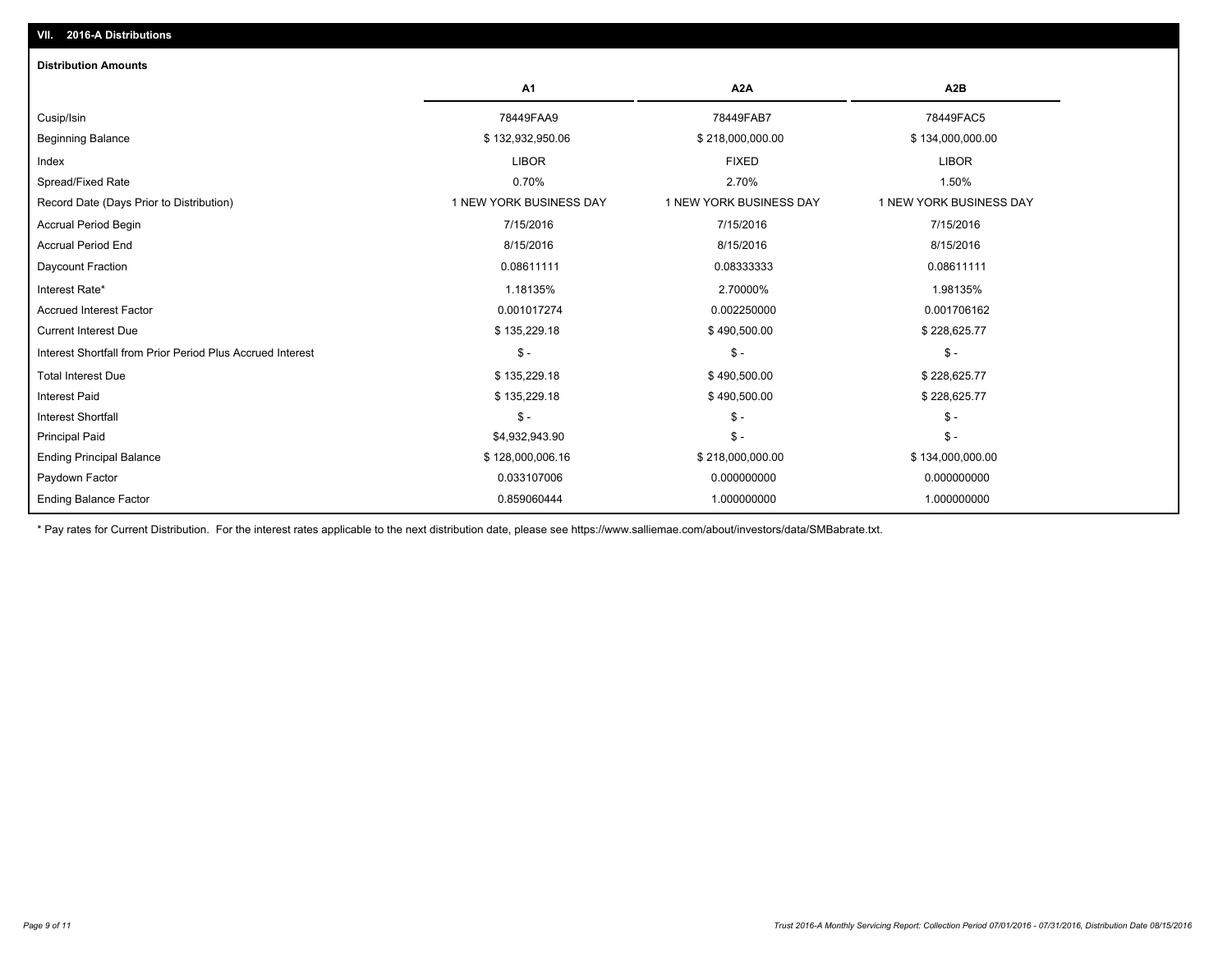| <b>Distribution Amounts</b>                                |                         |                         |                         |
|------------------------------------------------------------|-------------------------|-------------------------|-------------------------|
|                                                            | A <sub>1</sub>          | A <sub>2</sub> A        | A <sub>2</sub> B        |
| Cusip/Isin                                                 | 78449FAA9               | 78449FAB7               | 78449FAC5               |
| <b>Beginning Balance</b>                                   | \$132,932,950.06        | \$218,000,000.00        | \$134,000,000.00        |
| Index                                                      | <b>LIBOR</b>            | <b>FIXED</b>            | <b>LIBOR</b>            |
| Spread/Fixed Rate                                          | 0.70%                   | 2.70%                   | 1.50%                   |
| Record Date (Days Prior to Distribution)                   | 1 NEW YORK BUSINESS DAY | 1 NEW YORK BUSINESS DAY | 1 NEW YORK BUSINESS DAY |
| Accrual Period Begin                                       | 7/15/2016               | 7/15/2016               | 7/15/2016               |
| <b>Accrual Period End</b>                                  | 8/15/2016               | 8/15/2016               | 8/15/2016               |
| Daycount Fraction                                          | 0.08611111              | 0.08333333              | 0.08611111              |
| Interest Rate*                                             | 1.18135%                | 2.70000%                | 1.98135%                |
| <b>Accrued Interest Factor</b>                             | 0.001017274             | 0.002250000             | 0.001706162             |
| <b>Current Interest Due</b>                                | \$135,229.18            | \$490,500.00            | \$228,625.77            |
| Interest Shortfall from Prior Period Plus Accrued Interest | $\mathsf{\$}$ -         | $\mathsf{\$}$ -         | $S -$                   |
| <b>Total Interest Due</b>                                  | \$135,229.18            | \$490,500.00            | \$228,625.77            |
| <b>Interest Paid</b>                                       | \$135,229.18            | \$490,500.00            | \$228,625.77            |
| <b>Interest Shortfall</b>                                  | $\mathsf{\$}$ -         | $\frac{2}{3}$ -         | $\mathsf{\$}$ -         |
| <b>Principal Paid</b>                                      | \$4,932,943.90          | $\frac{2}{3}$ -         | $S -$                   |
| <b>Ending Principal Balance</b>                            | \$128,000,006.16        | \$218,000,000.00        | \$134,000,000.00        |
| Paydown Factor                                             | 0.033107006             | 0.000000000             | 0.000000000             |
| <b>Ending Balance Factor</b>                               | 0.859060444             | 1.000000000             | 1.000000000             |

\* Pay rates for Current Distribution. For the interest rates applicable to the next distribution date, please see https://www.salliemae.com/about/investors/data/SMBabrate.txt.

**VII. 2016-A Distributions**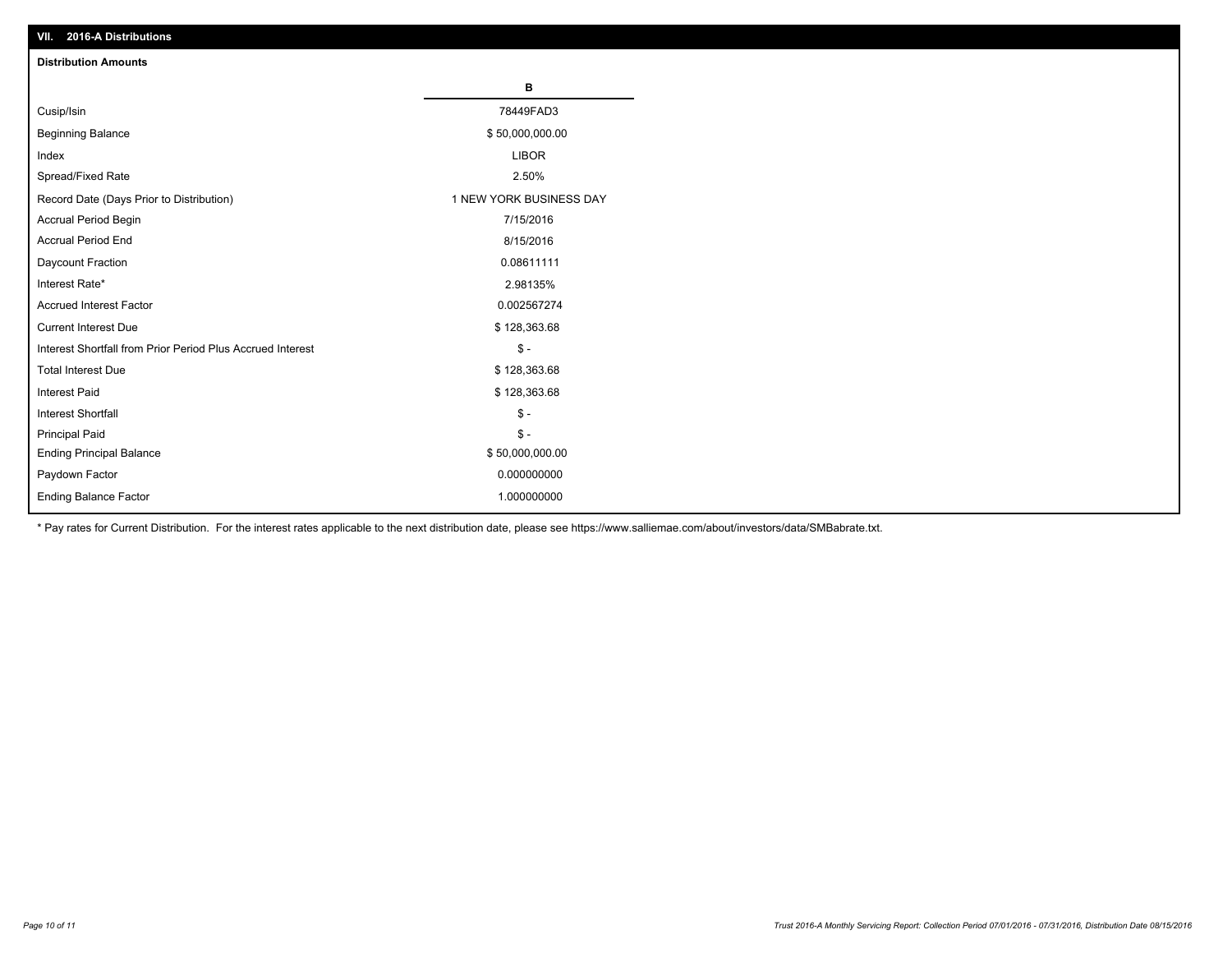| VII. 2016-A Distributions                                  |                         |
|------------------------------------------------------------|-------------------------|
| <b>Distribution Amounts</b>                                |                         |
|                                                            | в                       |
| Cusip/Isin                                                 | 78449FAD3               |
| <b>Beginning Balance</b>                                   | \$50,000,000.00         |
| Index                                                      | <b>LIBOR</b>            |
| Spread/Fixed Rate                                          | 2.50%                   |
| Record Date (Days Prior to Distribution)                   | 1 NEW YORK BUSINESS DAY |
| Accrual Period Begin                                       | 7/15/2016               |
| <b>Accrual Period End</b>                                  | 8/15/2016               |
| Daycount Fraction                                          | 0.08611111              |
| Interest Rate*                                             | 2.98135%                |
| <b>Accrued Interest Factor</b>                             | 0.002567274             |
| <b>Current Interest Due</b>                                | \$128,363.68            |
| Interest Shortfall from Prior Period Plus Accrued Interest | $$ -$                   |
| <b>Total Interest Due</b>                                  | \$128,363.68            |
| <b>Interest Paid</b>                                       | \$128,363.68            |
| <b>Interest Shortfall</b>                                  | $\mathbb{S}$ -          |
| <b>Principal Paid</b>                                      | $\frac{2}{3}$ -         |
| <b>Ending Principal Balance</b>                            | \$50,000,000.00         |
| Paydown Factor                                             | 0.000000000             |
| <b>Ending Balance Factor</b>                               | 1.000000000             |

\* Pay rates for Current Distribution. For the interest rates applicable to the next distribution date, please see https://www.salliemae.com/about/investors/data/SMBabrate.txt.